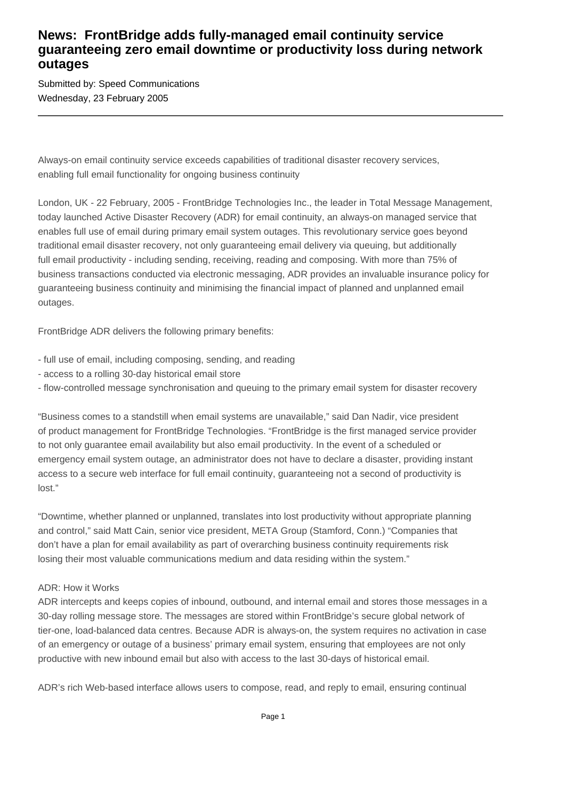## **News: FrontBridge adds fully-managed email continuity service guaranteeing zero email downtime or productivity loss during network outages**

Submitted by: Speed Communications Wednesday, 23 February 2005

Always-on email continuity service exceeds capabilities of traditional disaster recovery services, enabling full email functionality for ongoing business continuity

London, UK - 22 February, 2005 - FrontBridge Technologies Inc., the leader in Total Message Management, today launched Active Disaster Recovery (ADR) for email continuity, an always-on managed service that enables full use of email during primary email system outages. This revolutionary service goes beyond traditional email disaster recovery, not only guaranteeing email delivery via queuing, but additionally full email productivity - including sending, receiving, reading and composing. With more than 75% of business transactions conducted via electronic messaging, ADR provides an invaluable insurance policy for guaranteeing business continuity and minimising the financial impact of planned and unplanned email outages.

FrontBridge ADR delivers the following primary benefits:

- full use of email, including composing, sending, and reading
- access to a rolling 30-day historical email store
- flow-controlled message synchronisation and queuing to the primary email system for disaster recovery

"Business comes to a standstill when email systems are unavailable," said Dan Nadir, vice president of product management for FrontBridge Technologies. "FrontBridge is the first managed service provider to not only guarantee email availability but also email productivity. In the event of a scheduled or emergency email system outage, an administrator does not have to declare a disaster, providing instant access to a secure web interface for full email continuity, guaranteeing not a second of productivity is lost."

"Downtime, whether planned or unplanned, translates into lost productivity without appropriate planning and control," said Matt Cain, senior vice president, META Group (Stamford, Conn.) "Companies that don't have a plan for email availability as part of overarching business continuity requirements risk losing their most valuable communications medium and data residing within the system."

### ADR: How it Works

ADR intercepts and keeps copies of inbound, outbound, and internal email and stores those messages in a 30-day rolling message store. The messages are stored within FrontBridge's secure global network of tier-one, load-balanced data centres. Because ADR is always-on, the system requires no activation in case of an emergency or outage of a business' primary email system, ensuring that employees are not only productive with new inbound email but also with access to the last 30-days of historical email.

ADR's rich Web-based interface allows users to compose, read, and reply to email, ensuring continual